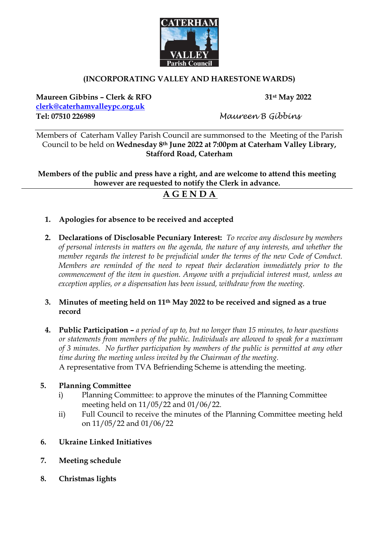

## **(INCORPORATING VALLEY AND HARESTONE WARDS)**

**Maureen Gibbins – Clerk & RFO 31st May 2022 [clerk@caterhamvalleypc.org.uk](mailto:clerk@caterhamvalleypc.org.uk) Tel: 07510 226989** *Maureen B Gibbins*

Members of Caterham Valley Parish Council are summonsed to the Meeting of the Parish Council to be held on **Wednesday 8th June 2022 at 7:00pm at Caterham Valley Library, Stafford Road, Caterham**

**Members of the public and press have a right, and are welcome to attend this meeting however are requested to notify the Clerk in advance.** 

# **A G E N D A**

- **1. Apologies for absence to be received and accepted**
- **2. Declarations of Disclosable Pecuniary Interest:** *To receive any disclosure by members of personal interests in matters on the agenda, the nature of any interests, and whether the member regards the interest to be prejudicial under the terms of the new Code of Conduct. Members are reminded of the need to repeat their declaration immediately prior to the commencement of the item in question. Anyone with a prejudicial interest must, unless an exception applies, or a dispensation has been issued, withdraw from the meeting.*
- **3. Minutes of meeting held on 11th May 2022 to be received and signed as a true record**
- **4. Public Participation –** *a period of up to, but no longer than 15 minutes, to hear questions or statements from members of the public. Individuals are allowed to speak for a maximum of 3 minutes. No further participation by members of the public is permitted at any other time during the meeting unless invited by the Chairman of the meeting.* A representative from TVA Befriending Scheme is attending the meeting.

## **5. Planning Committee**

- i) Planning Committee: to approve the minutes of the Planning Committee meeting held on 11/05/22 and 01/06/22.
- ii) Full Council to receive the minutes of the Planning Committee meeting held on 11/05/22 and 01/06/22
- **6. Ukraine Linked Initiatives**
- **7. Meeting schedule**
- **8. Christmas lights**